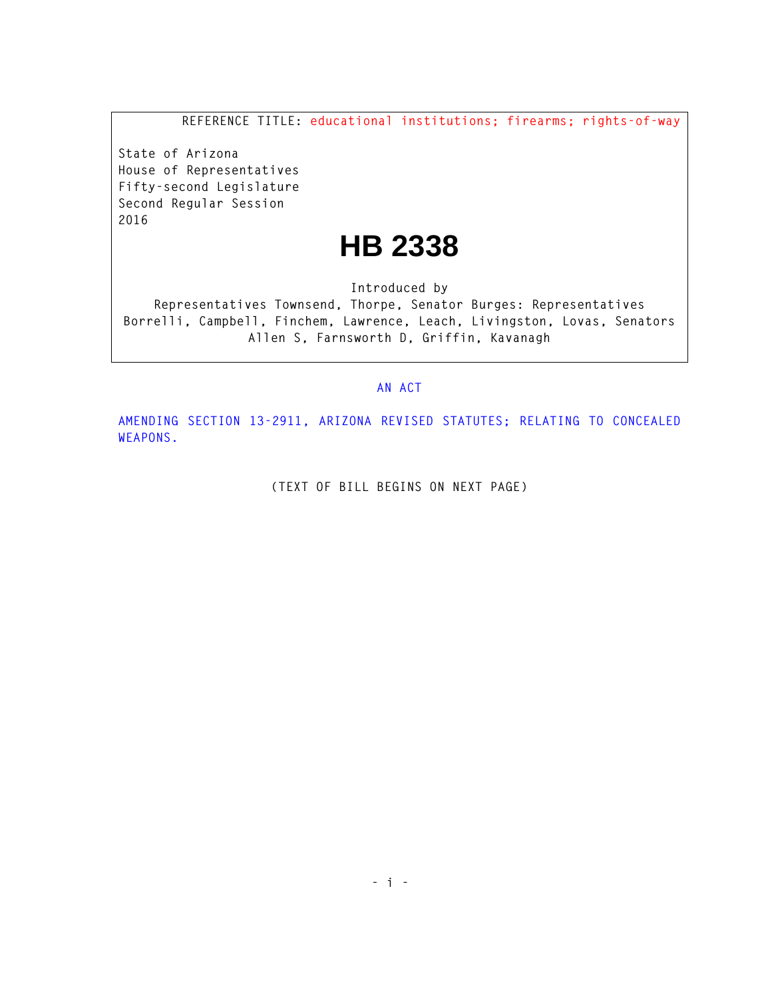**REFERENCE TITLE: educational institutions; firearms; rights-of-way**

**State of Arizona House of Representatives Fifty-second Legislature Second Regular Session 2016** 

## **HB 2338**

**Introduced by** 

**Representatives Townsend, Thorpe, Senator Burges: Representatives Borrelli, Campbell, Finchem, Lawrence, Leach, Livingston, Lovas, Senators Allen S, Farnsworth D, Griffin, Kavanagh** 

## **AN ACT**

**AMENDING SECTION 13-2911, ARIZONA REVISED STATUTES; RELATING TO CONCEALED WEAPONS.** 

**(TEXT OF BILL BEGINS ON NEXT PAGE)**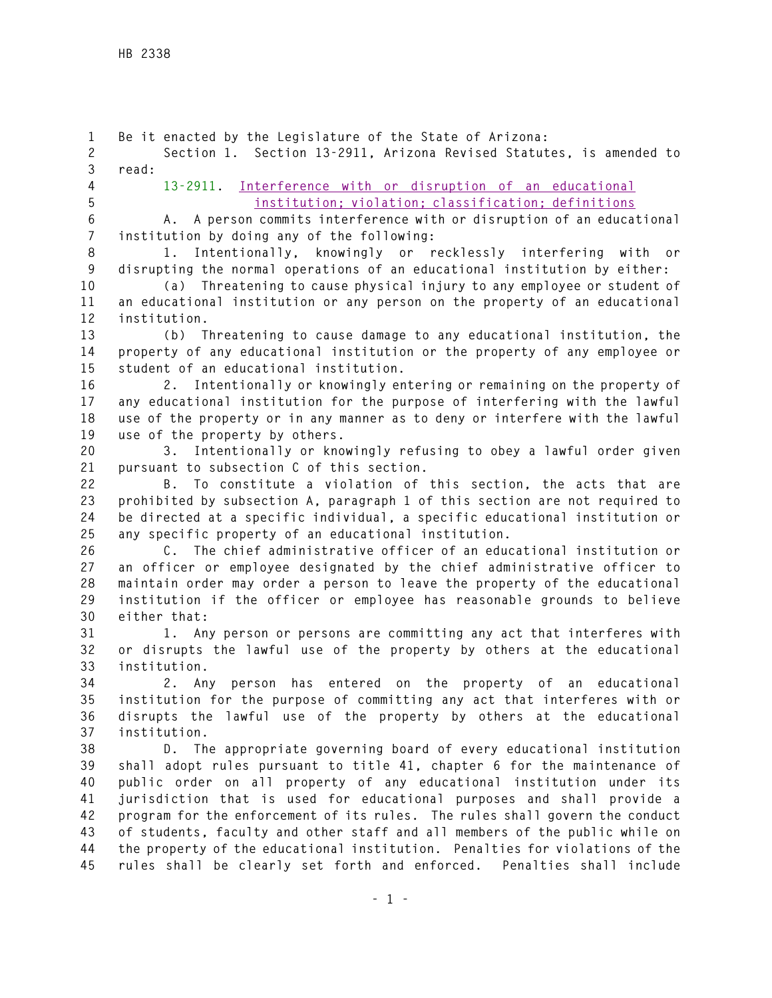**1 Be it enacted by the Legislature of the State of Arizona: 2 Section 1. Section 13-2911, Arizona Revised Statutes, is amended to 3 read: 4 13-2911. Interference with or disruption of an educational 5 institution; violation; classification; definitions 6 A. A person commits interference with or disruption of an educational 7 institution by doing any of the following: 8 1. Intentionally, knowingly or recklessly interfering with or 9 disrupting the normal operations of an educational institution by either: 10 (a) Threatening to cause physical injury to any employee or student of 11 an educational institution or any person on the property of an educational 12 institution. 13 (b) Threatening to cause damage to any educational institution, the 14 property of any educational institution or the property of any employee or 15 student of an educational institution. 16 2. Intentionally or knowingly entering or remaining on the property of 17 any educational institution for the purpose of interfering with the lawful 18 use of the property or in any manner as to deny or interfere with the lawful 19 use of the property by others. 20 3. Intentionally or knowingly refusing to obey a lawful order given 21 pursuant to subsection C of this section. 22 B. To constitute a violation of this section, the acts that are 23 prohibited by subsection A, paragraph 1 of this section are not required to 24 be directed at a specific individual, a specific educational institution or 25 any specific property of an educational institution. 26 C. The chief administrative officer of an educational institution or 27 an officer or employee designated by the chief administrative officer to 28 maintain order may order a person to leave the property of the educational 29 institution if the officer or employee has reasonable grounds to believe 30 either that: 31 1. Any person or persons are committing any act that interferes with 32 or disrupts the lawful use of the property by others at the educational 33 institution. 34 2. Any person has entered on the property of an educational 35 institution for the purpose of committing any act that interferes with or 36 disrupts the lawful use of the property by others at the educational 37 institution. 38 D. The appropriate governing board of every educational institution 39 shall adopt rules pursuant to title 41, chapter 6 for the maintenance of 40 public order on all property of any educational institution under its 41 jurisdiction that is used for educational purposes and shall provide a 42 program for the enforcement of its rules. The rules shall govern the conduct 43 of students, faculty and other staff and all members of the public while on 44 the property of the educational institution. Penalties for violations of the 45 rules shall be clearly set forth and enforced. Penalties shall include**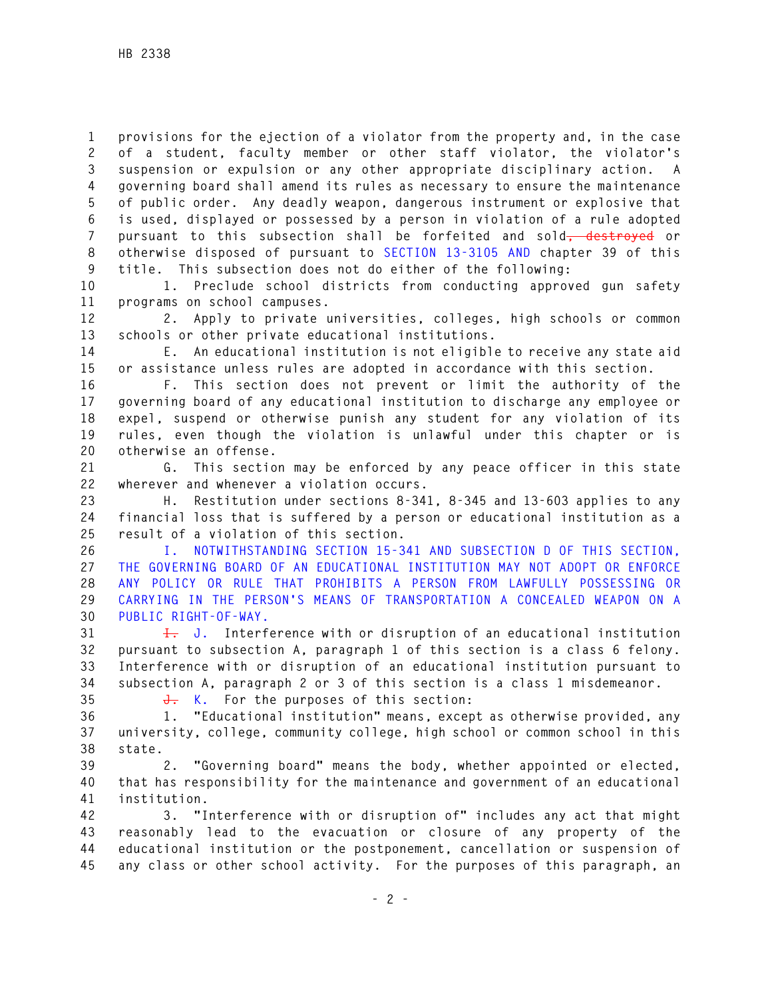**1 provisions for the ejection of a violator from the property and, in the case 2 of a student, faculty member or other staff violator, the violator's 3 suspension or expulsion or any other appropriate disciplinary action. A 4 governing board shall amend its rules as necessary to ensure the maintenance 5 of public order. Any deadly weapon, dangerous instrument or explosive that 6 is used, displayed or possessed by a person in violation of a rule adopted 7 pursuant to this subsection shall be forfeited and sold, destroyed or 8 otherwise disposed of pursuant to SECTION 13-3105 AND chapter 39 of this 9 title. This subsection does not do either of the following:** 

**10 1. Preclude school districts from conducting approved gun safety 11 programs on school campuses.** 

**12 2. Apply to private universities, colleges, high schools or common 13 schools or other private educational institutions.** 

**14 E. An educational institution is not eligible to receive any state aid 15 or assistance unless rules are adopted in accordance with this section.** 

**16 F. This section does not prevent or limit the authority of the 17 governing board of any educational institution to discharge any employee or 18 expel, suspend or otherwise punish any student for any violation of its 19 rules, even though the violation is unlawful under this chapter or is 20 otherwise an offense.** 

**21 G. This section may be enforced by any peace officer in this state 22 wherever and whenever a violation occurs.** 

**23 H. Restitution under sections 8-341, 8-345 and 13-603 applies to any 24 financial loss that is suffered by a person or educational institution as a 25 result of a violation of this section.** 

**26 I. NOTWITHSTANDING SECTION 15-341 AND SUBSECTION D OF THIS SECTION, 27 THE GOVERNING BOARD OF AN EDUCATIONAL INSTITUTION MAY NOT ADOPT OR ENFORCE 28 ANY POLICY OR RULE THAT PROHIBITS A PERSON FROM LAWFULLY POSSESSING OR 29 CARRYING IN THE PERSON'S MEANS OF TRANSPORTATION A CONCEALED WEAPON ON A 30 PUBLIC RIGHT-OF-WAY.** 

**31 I. J. Interference with or disruption of an educational institution 32 pursuant to subsection A, paragraph 1 of this section is a class 6 felony. 33 Interference with or disruption of an educational institution pursuant to 34 subsection A, paragraph 2 or 3 of this section is a class 1 misdemeanor.** 

**35 J. K. For the purposes of this section:** 

**36 1. "Educational institution" means, except as otherwise provided, any 37 university, college, community college, high school or common school in this 38 state.** 

**39 2. "Governing board" means the body, whether appointed or elected, 40 that has responsibility for the maintenance and government of an educational 41 institution.** 

**42 3. "Interference with or disruption of" includes any act that might 43 reasonably lead to the evacuation or closure of any property of the 44 educational institution or the postponement, cancellation or suspension of 45 any class or other school activity. For the purposes of this paragraph, an**